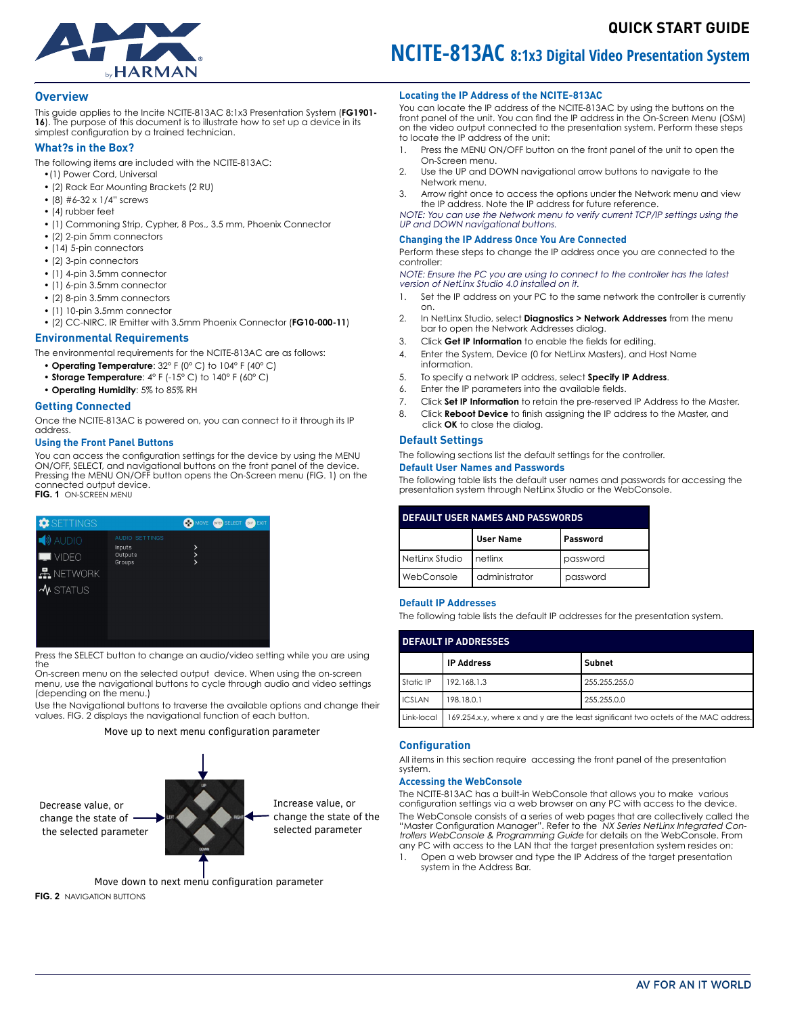

# <span id="page-0-1"></span>**QUICK START GUIDE**

# **Overview**

This guide applies to the Incite NCITE-813AC 8:1x3 Presentation System (**FG1901- 16**). The purpose of this document is to illustrate how to set up a device in its simplest configuration by a trained technician.

# **What?s in the Box?**

The following items are included with the NCITE-813AC:

- •(1) Power Cord, Universal
- (2) Rack Ear Mounting Brackets (2 RU)
- (8) #6-32 x 1/4" screws
- (4) rubber feet
- (1) Commoning Strip, Cypher, 8 Pos., 3.5 mm, Phoenix Connector
- (2) 2-pin 5mm connectors
- (14) 5-pin connectors
- (2) 3-pin connectors
- (1) 4-pin 3.5mm connector
- (1) 6-pin 3.5mm connector
- (2) 8-pin 3.5mm connectors
- (1) 10-pin 3.5mm connector
- (2) CC-NIRC, IR Emitter with 3.5mm Phoenix Connector (**FG10-000-11**)

#### **Environmental Requirements**

The environmental requirements for the NCITE-813AC are as follows:

- • **Operating Temperature**: 32° F (0° C) to 104° F (40° C)
- • **Storage Temperature**: 4° F (-15° C) to 140° F (60° C)
- • **Operating Humidity**: 5% to 85% RH

#### **Getting Connected**

Once the NCITE-813AC is powered on, you can connect to it through its IP address.

# **Using the Front Panel Buttons**

You can access the configuration settings for the device by using the MENU ON/OFF, SELECT, and navigational buttons on the front panel of the device. Pressing the MENU ON/OFF button opens the On-Screen menu ([FIG. 1](#page-0-0)) on the connected output device. **FIG. 1** ON-SCREEN MENU

<span id="page-0-0"></span>

Press the SELECT button to change an audio/video setting while you are using the

On-screen menu on the selected output device. When using the on-screen menu, use the navigational buttons to cycle through audio and video settings (depending on the menu.)

Use the Navigational buttons to traverse the available options and change their values. [FIG. 2](#page-0-1) displays the navigational function of each button.

Move up to next menu configuration parameter



Move down to next menu configuration parameter **FIG. 2** NAVIGATION BUTTONS

# **Locating the IP Address of the NCITE-813AC**

You can locate the IP address of the NCITE-813AC by using the buttons on the front panel of the unit. You can find the IP address in the On-Screen Menu (OSM) on the video output connected to the presentation system. Perform these steps to locate the IP address of the unit:

**NCITE-813AC 8:1x3 Digital Video Presentation System** 

- 1. Press the MENU ON/OFF button on the front panel of the unit to open the On-Screen menu.
- 2. Use the UP and DOWN navigational arrow buttons to navigate to the Network menu.
- 3. Arrow right once to access the options under the Network menu and view the IP address. Note the IP address for future reference.

NOTE: You can use the Network menu to verify current TCP/IP settings using the UP and DOWN navigational buttons.

#### **Changing the IP Address Once You Are Connected**

Perform these steps to change the IP address once you are connected to the controller:

NOTE: Ensure the PC you are using to connect to the controller has the latest version of NetLinx Studio 4.0 installed on it.

- 1. Set the IP address on your PC to the same network the controller is currently on.
- 2. In NetLinx Studio, select **Diagnostics > Network Addresses** from the menu bar to open the Network Addresses dialog.
- 3. Click **Get IP Information** to enable the fields for editing.
- 4. Enter the System, Device (0 for NetLinx Masters), and Host Name information.
- 5. To specify a network IP address, select **Specify IP Address**.
- 6. Enter the IP parameters into the available fields.
- 7. Click **Set IP Information** to retain the pre-reserved IP Address to the Master.
- 8. Click **Reboot Device** to finish assigning the IP address to the Master, and
- click **OK** to close the dialog.

# **Default Settings**

The following sections list the default settings for the controller.

# **Default User Names and Passwords**

The following table lists the default user names and passwords for accessing the presentation system through NetLinx Studio or the WebConsole.

| <b>DEFAULT USER NAMES AND PASSWORDS</b> |                  |          |  |  |  |
|-----------------------------------------|------------------|----------|--|--|--|
|                                         | <b>User Name</b> | Password |  |  |  |
| NetLinx Studio                          | Inetlinx         | password |  |  |  |
| WebConsole                              | administrator    | password |  |  |  |

### **Default IP Addresses**

The following table lists the default IP addresses for the presentation system.

| <b>DEFAULT IP ADDRESSES</b> |                                                                                     |               |  |  |  |  |
|-----------------------------|-------------------------------------------------------------------------------------|---------------|--|--|--|--|
|                             | <b>IP Address</b>                                                                   | Subnet        |  |  |  |  |
| Static IP                   | 192.168.1.3                                                                         | 255.255.255.0 |  |  |  |  |
| <b>ICSLAN</b>               | 198.18.0.1                                                                          | 255.255.0.0   |  |  |  |  |
| Link-local                  | 169.254.x.y, where x and y are the least significant two octets of the MAC address. |               |  |  |  |  |

# **Configuration**

All items in this section require accessing the front panel of the presentation system.

#### **Accessing the WebConsole**

The NCITE-813AC has a built-in WebConsole that allows you to make various configuration settings via a web browser on any PC with access to the device. The WebConsole consists of a series of web pages that are collectively called the<br>''Master Configuration Manager''. Refer to the NX S*eries NetLinx Integrated Con*trollers WebConsole & Programming Guide for details on the WebConsole. From any PC with access to the LAN that the target presentation system resides on:

1. Open a web browser and type the IP Address of the target presentation system in the Address Bar.